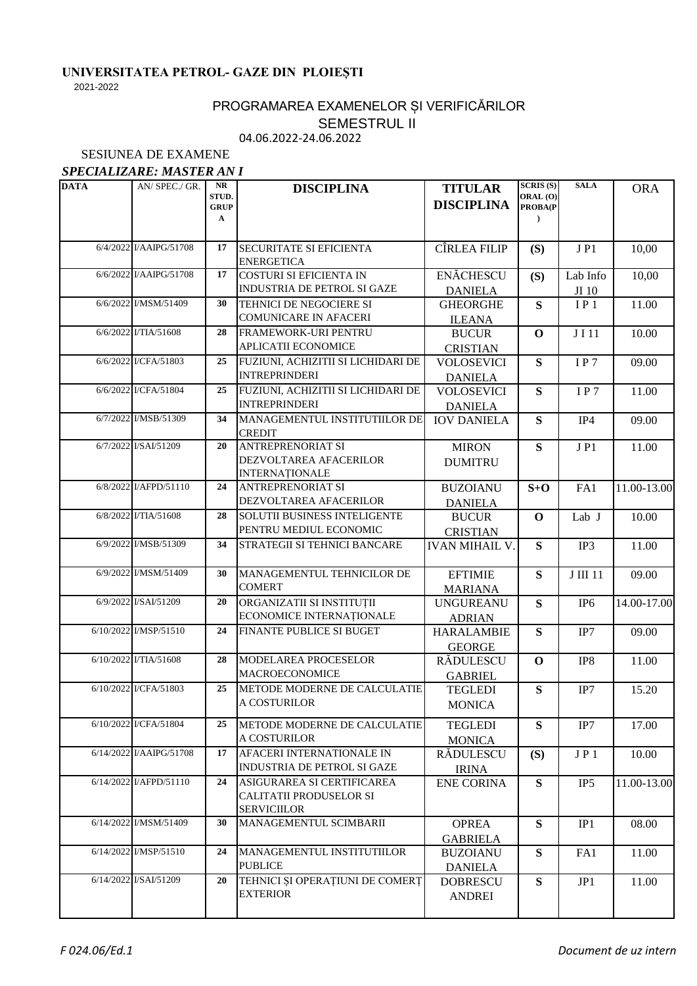## **UNIVERSITATEA PETROL- GAZE DIN PLOIEȘTI**

2021-2022

## 04.06.2022-24.06.2022 PROGRAMAREA EXAMENELOR ȘI VERIFICĂRILOR SEMESTRUL II

SESIUNEA DE EXAMENE

## *SPECIALIZARE: MASTER AN I*

| <b>DATA</b> | AN/ SPEC./ GR.          | NR<br>STUD.<br><b>GRUP</b><br>$\mathbf A$ | <b>DISCIPLINA</b>                                                           | <b>TITULAR</b><br><b>DISCIPLINA</b> | SCRIS(S)<br>ORAL (O)<br>PROBA(P<br>$\lambda$ | <b>SALA</b>       | <b>ORA</b>  |
|-------------|-------------------------|-------------------------------------------|-----------------------------------------------------------------------------|-------------------------------------|----------------------------------------------|-------------------|-------------|
|             | 6/4/2022 I/AAIPG/51708  | 17                                        | SECURITATE SI EFICIENTA<br><b>ENERGETICA</b>                                | CÎRLEA FILIP                        | (S)                                          | JP1               | 10,00       |
|             | 6/6/2022 I/AAIPG/51708  | 17                                        | <b>COSTURI SI EFICIENTA IN</b><br>INDUSTRIA DE PETROL SI GAZE               | <b>ENĂCHESCU</b><br><b>DANIELA</b>  | (S)                                          | Lab Info<br>JI 10 | 10,00       |
|             | 6/6/2022 I/MSM/51409    | 30                                        | TEHNICI DE NEGOCIERE SI<br><b>COMUNICARE IN AFACERI</b>                     | <b>GHEORGHE</b><br><b>ILEANA</b>    | S                                            | IP <sub>1</sub>   | 11.00       |
|             | 6/6/2022 I/TIA/51608    | 28                                        | FRAMEWORK-URI PENTRU<br>APLICATII ECONOMICE                                 | <b>BUCUR</b><br><b>CRISTIAN</b>     | $\mathbf 0$                                  | J I 11            | 10.00       |
|             | 6/6/2022 I/CFA/51803    | 25                                        | FUZIUNI, ACHIZITII SI LICHIDARI DE<br><b>INTREPRINDERI</b>                  | <b>VOLOSEVICI</b><br><b>DANIELA</b> | S                                            | IP7               | 09.00       |
|             | 6/6/2022 I/CFA/51804    | 25                                        | FUZIUNI, ACHIZITII SI LICHIDARI DE<br><b>INTREPRINDERI</b>                  | <b>VOLOSEVICI</b><br><b>DANIELA</b> | S                                            | IP7               | 11.00       |
|             | 6/7/2022 I/MSB/51309    | 34                                        | MANAGEMENTUL INSTITUTIILOR DE<br><b>CREDIT</b>                              | <b>IOV DANIELA</b>                  | S                                            | IP4               | 09.00       |
|             | 6/7/2022 I/SAI/51209    | 20                                        | <b>ANTREPRENORIAT SI</b><br>DEZVOLTAREA AFACERILOR<br><b>INTERNAȚIONALE</b> | <b>MIRON</b><br><b>DUMITRU</b>      | S                                            | JP1               | 11.00       |
|             | 6/8/2022 I/AFPD/51110   | 24                                        | <b>ANTREPRENORIAT SI</b><br>DEZVOLTAREA AFACERILOR                          | <b>BUZOIANU</b><br><b>DANIELA</b>   | $S+O$                                        | FA1               | 11.00-13.00 |
|             | 6/8/2022 I/TIA/51608    | 28                                        | SOLUTII BUSINESS INTELIGENTE<br>PENTRU MEDIUL ECONOMIC                      | <b>BUCUR</b><br><b>CRISTIAN</b>     | $\mathbf 0$                                  | Lab J             | 10.00       |
|             | 6/9/2022 I/MSB/51309    | 34                                        | STRATEGII SI TEHNICI BANCARE                                                | <b>IVAN MIHAIL V.</b>               | S                                            | IP3               | 11.00       |
|             | 6/9/2022 I/MSM/51409    | 30                                        | MANAGEMENTUL TEHNICILOR DE<br><b>COMERT</b>                                 | <b>EFTIMIE</b><br><b>MARIANA</b>    | S                                            | J III 11          | 09.00       |
|             | 6/9/2022 I/SAI/51209    | 20                                        | ORGANIZATII SI INSTITUȚII<br><b>ECONOMICE INTERNATIONALE</b>                | <b>UNGUREANU</b><br><b>ADRIAN</b>   | ${\bf S}$                                    | IP <sub>6</sub>   | 14.00-17.00 |
|             | 6/10/2022 I/MSP/51510   | 24                                        | FINANTE PUBLICE SI BUGET                                                    | <b>HARALAMBIE</b><br><b>GEORGE</b>  | ${\bf S}$                                    | IP7               | 09.00       |
|             | 6/10/2022 I/TIA/51608   | 28                                        | MODELAREA PROCESELOR<br><b>MACROECONOMICE</b>                               | RĂDULESCU<br><b>GABRIEL</b>         | $\mathbf 0$                                  | IP8               | 11.00       |
|             | 6/10/2022 I/CFA/51803   | 25                                        | METODE MODERNE DE CALCULATIE<br>A COSTURILOR                                | <b>TEGLEDI</b><br><b>MONICA</b>     | ${\bf S}$                                    | IP7               | 15.20       |
|             | 6/10/2022 I/CFA/51804   | 25                                        | METODE MODERNE DE CALCULATIE<br>A COSTURILOR                                | <b>TEGLEDI</b><br><b>MONICA</b>     | S                                            | IP7               | 17.00       |
|             | 6/14/2022 I/AAIPG/51708 | 17                                        | AFACERI INTERNATIONALE IN<br><b>INDUSTRIA DE PETROL SI GAZE</b>             | RĂDULESCU<br><b>IRINA</b>           | (S)                                          | JP1               | 10.00       |
|             | 6/14/2022 I/AFPD/51110  | 24                                        | ASIGURAREA SI CERTIFICAREA<br>CALITATII PRODUSELOR SI<br><b>SERVICIILOR</b> | <b>ENE CORINA</b>                   | S                                            | IP <sub>5</sub>   | 11.00-13.00 |
|             | 6/14/2022 I/MSM/51409   | 30                                        | MANAGEMENTUL SCIMBARII                                                      | <b>OPREA</b><br><b>GABRIELA</b>     | S                                            | IP1               | 08.00       |
|             | 6/14/2022 I/MSP/51510   | 24                                        | MANAGEMENTUL INSTITUTIILOR<br><b>PUBLICE</b>                                | <b>BUZOIANU</b><br><b>DANIELA</b>   | S                                            | FA1               | 11.00       |
|             | 6/14/2022 I/SAI/51209   | 20                                        | TEHNICI ȘI OPERAȚIUNI DE COMERȚ<br><b>EXTERIOR</b>                          | <b>DOBRESCU</b><br><b>ANDREI</b>    | S                                            | JP1               | 11.00       |